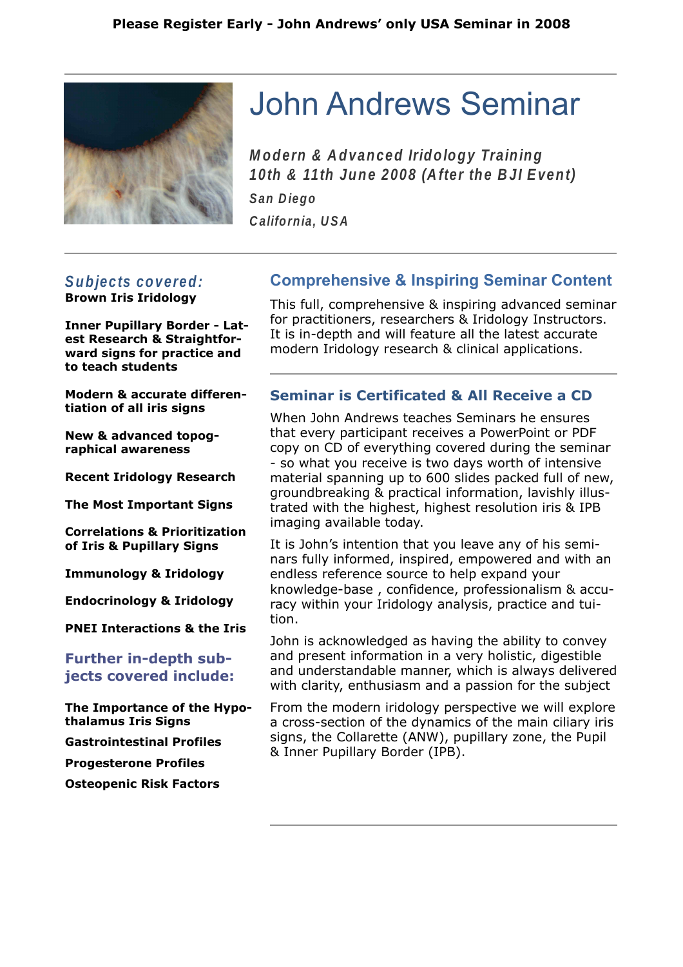

# John Andrews Seminar

**Modern & Advanced Iridology Training 10th & 11th June 2008 (After the BJI Event)**

**San Diego**

**California, USA**

#### **Subjects covered: Brown Iris Iridology**

**Inner Pupillary Border - Latest Research & Straightforward signs for practice and to teach students**

**Modern & accurate differentiation of all iris signs**

**New & advanced topographical awareness**

**Recent Iridology Research**

**The Most Important Signs**

**Correlations & Prioritization of Iris & Pupillary Signs**

**Immunology & Iridology**

**Endocrinology & Iridology**

**PNEI Interactions & the Iris**

## **Further in-depth subjects covered include:**

**The Importance of the Hypothalamus Iris Signs**

**Gastrointestinal Profiles**

**Progesterone Profiles**

**Osteopenic Risk Factors**

## **Comprehensive & Inspiring Seminar Content**

This full, comprehensive & inspiring advanced seminar for practitioners, researchers & Iridology Instructors. It is in-depth and will feature all the latest accurate modern Iridology research & clinical applications.

### **Seminar is Certificated & All Receive a CD**

When John Andrews teaches Seminars he ensures that every participant receives a PowerPoint or PDF copy on CD of everything covered during the seminar - so what you receive is two days worth of intensive material spanning up to 600 slides packed full of new, groundbreaking & practical information, lavishly illustrated with the highest, highest resolution iris & IPB imaging available today.

It is John's intention that you leave any of his seminars fully informed, inspired, empowered and with an endless reference source to help expand your knowledge-base , confidence, professionalism & accuracy within your Iridology analysis, practice and tuition.

John is acknowledged as having the ability to convey and present information in a very holistic, digestible and understandable manner, which is always delivered with clarity, enthusiasm and a passion for the subject

From the modern iridology perspective we will explore a cross-section of the dynamics of the main ciliary iris signs, the Collarette (ANW), pupillary zone, the Pupil & Inner Pupillary Border (IPB).